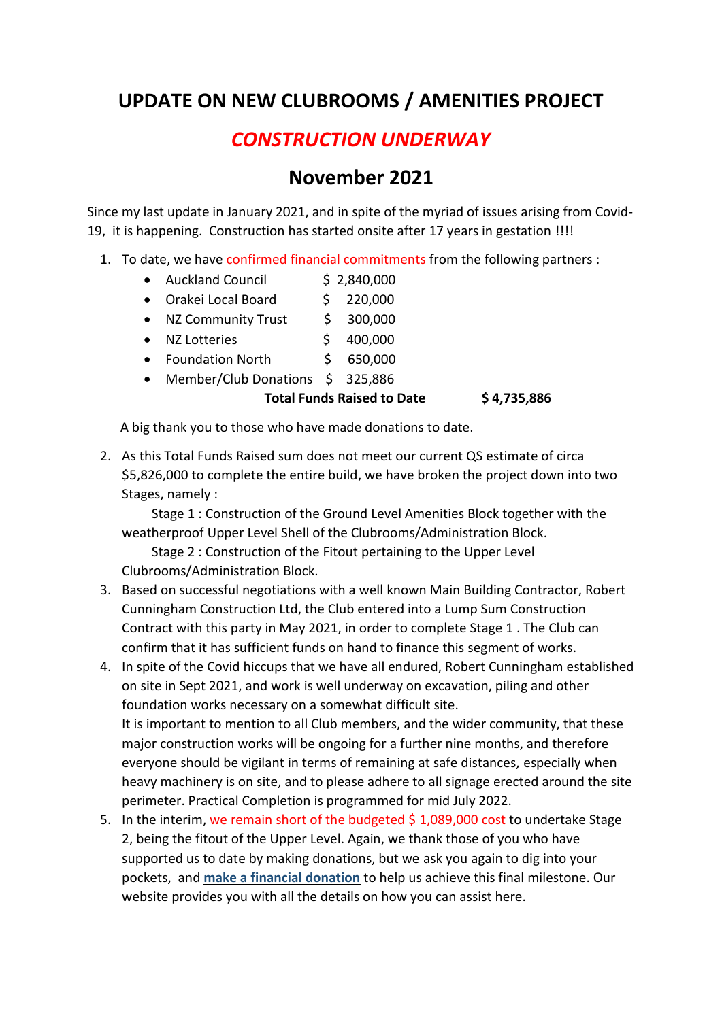## **UPDATE ON NEW CLUBROOMS / AMENITIES PROJECT**

## *CONSTRUCTION UNDERWAY*

## **November 2021**

Since my last update in January 2021, and in spite of the myriad of issues arising from Covid-19, it is happening. Construction has started onsite after 17 years in gestation !!!!

- 1. To date, we have confirmed financial commitments from the following partners :
	- Auckland Council \$ 2,840,000
	- Orakei Local Board \$ 220,000

• NZ Community Trust \$ 300,000

- $\bullet$  NZ Lotteries  $\qquad \qquad$  \$ 400,000
- Foundation North \$ 650,000
- Member/Club Donations \$ 325,886

## **Total Funds Raised to Date \$ 4,735,886**

A big thank you to those who have made donations to date.

2. As this Total Funds Raised sum does not meet our current QS estimate of circa \$5,826,000 to complete the entire build, we have broken the project down into two Stages, namely :

 Stage 1 : Construction of the Ground Level Amenities Block together with the weatherproof Upper Level Shell of the Clubrooms/Administration Block.

 Stage 2 : Construction of the Fitout pertaining to the Upper Level Clubrooms/Administration Block.

- 3. Based on successful negotiations with a well known Main Building Contractor, Robert Cunningham Construction Ltd, the Club entered into a Lump Sum Construction Contract with this party in May 2021, in order to complete Stage 1 . The Club can confirm that it has sufficient funds on hand to finance this segment of works.
- 4. In spite of the Covid hiccups that we have all endured, Robert Cunningham established on site in Sept 2021, and work is well underway on excavation, piling and other foundation works necessary on a somewhat difficult site. It is important to mention to all Club members, and the wider community, that these major construction works will be ongoing for a further nine months, and therefore everyone should be vigilant in terms of remaining at safe distances, especially when heavy machinery is on site, and to please adhere to all signage erected around the site perimeter. Practical Completion is programmed for mid July 2022.
- 5. In the interim, we remain short of the budgeted  $$1,089,000$  cost to undertake Stage 2, being the fitout of the Upper Level. Again, we thank those of you who have supported us to date by making donations, but we ask you again to dig into your pockets, and **make a financial donation** to help us achieve this final milestone. Our website provides you with all the details on how you can assist here.